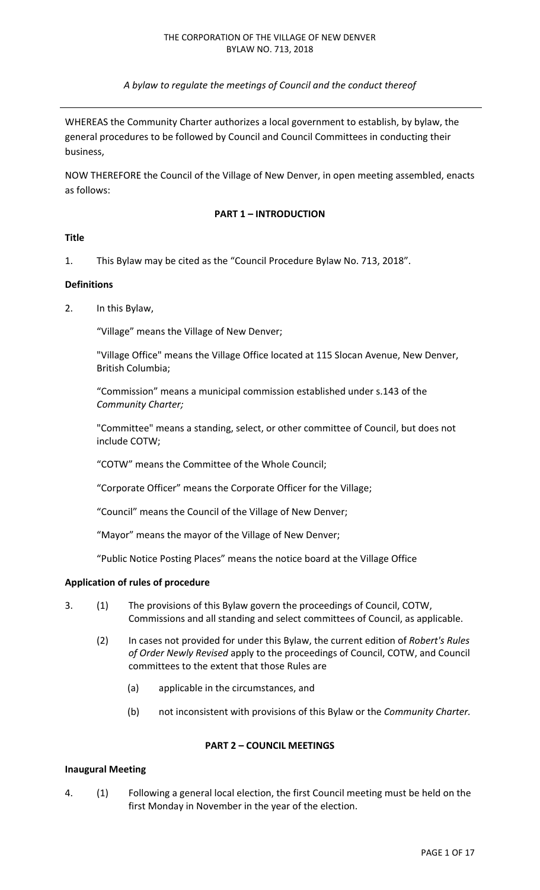*A bylaw to regulate the meetings of Council and the conduct thereof* 

WHEREAS the Community Charter authorizes a local government to establish, by bylaw, the general procedures to be followed by Council and Council Committees in conducting their business,

NOW THEREFORE the Council of the Village of New Denver, in open meeting assembled, enacts as follows:

#### **PART 1 – INTRODUCTION**

#### **Title**

1. This Bylaw may be cited as the "Council Procedure Bylaw No. 713, 2018".

#### **Definitions**

2. In this Bylaw,

"Village" means the Village of New Denver;

"Village Office" means the Village Office located at 115 Slocan Avenue, New Denver, British Columbia;

"Commission" means a municipal commission established under s.143 of the *Community Charter;* 

"Committee" means a standing, select, or other committee of Council, but does not include COTW;

"COTW" means the Committee of the Whole Council;

"Corporate Officer" means the Corporate Officer for the Village;

"Council" means the Council of the Village of New Denver;

"Mayor" means the mayor of the Village of New Denver;

"Public Notice Posting Places" means the notice board at the Village Office

#### **Application of rules of procedure**

- 3. (1) The provisions of this Bylaw govern the proceedings of Council, COTW, Commissions and all standing and select committees of Council, as applicable.
	- (2) In cases not provided for under this Bylaw, the current edition of *Robert's Rules of Order Newly Revised* apply to the proceedings of Council, COTW, and Council committees to the extent that those Rules are
		- (a) applicable in the circumstances, and
		- (b) not inconsistent with provisions of this Bylaw or the *Community Charter.*

# **PART 2 – COUNCIL MEETINGS**

#### **Inaugural Meeting**

4. (1) Following a general local election, the first Council meeting must be held on the first Monday in November in the year of the election.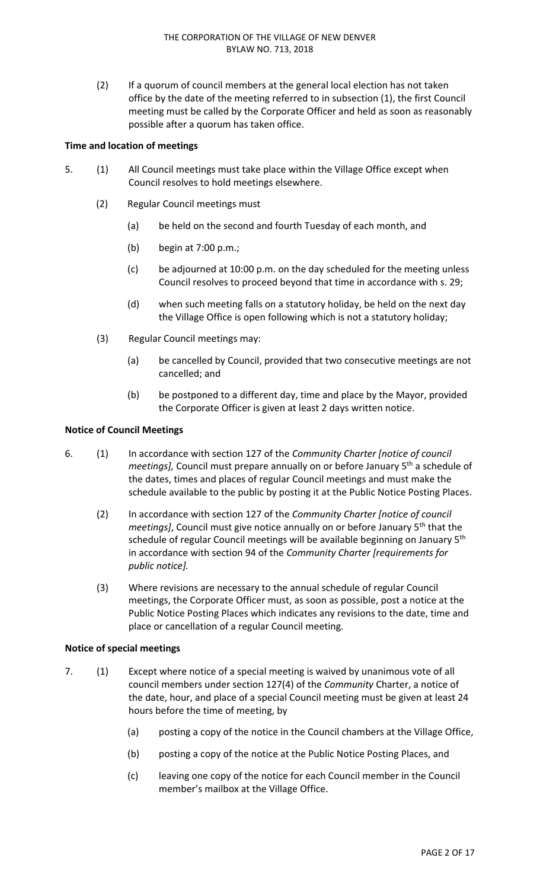(2) If a quorum of council members at the general local election has not taken office by the date of the meeting referred to in subsection (1), the first Council meeting must be called by the Corporate Officer and held as soon as reasonably possible after a quorum has taken office.

# **Time and location of meetings**

- 5. (1) All Council meetings must take place within the Village Office except when Council resolves to hold meetings elsewhere.
	- (2) Regular Council meetings must
		- (a) be held on the second and fourth Tuesday of each month, and
		- (b) begin at 7:00 p.m.;
		- (c) be adjourned at 10:00 p.m. on the day scheduled for the meeting unless Council resolves to proceed beyond that time in accordance with s. 29;
		- (d) when such meeting falls on a statutory holiday, be held on the next day the Village Office is open following which is not a statutory holiday;
	- (3) Regular Council meetings may:
		- (a) be cancelled by Council, provided that two consecutive meetings are not cancelled; and
		- (b) be postponed to a different day, time and place by the Mayor, provided the Corporate Officer is given at least 2 days written notice.

## **Notice of Council Meetings**

- 6. (1) In accordance with section 127 of the *Community Charter [notice of council meetings], Council must prepare annually on or before January 5<sup>th</sup> a schedule of* the dates, times and places of regular Council meetings and must make the schedule available to the public by posting it at the Public Notice Posting Places.
	- (2) In accordance with section 127 of the *Community Charter [notice of council meetings]*, Council must give notice annually on or before January 5<sup>th</sup> that the schedule of regular Council meetings will be available beginning on January 5<sup>th</sup> in accordance with section 94 of the *Community Charter [requirements for public notice].*
	- (3) Where revisions are necessary to the annual schedule of regular Council meetings, the Corporate Officer must, as soon as possible, post a notice at the Public Notice Posting Places which indicates any revisions to the date, time and place or cancellation of a regular Council meeting.

## **Notice of special meetings**

- 7. (1) Except where notice of a special meeting is waived by unanimous vote of all council members under section 127(4) of the *Community* Charter, a notice of the date, hour, and place of a special Council meeting must be given at least 24 hours before the time of meeting, by
	- (a) posting a copy of the notice in the Council chambers at the Village Office,
	- (b) posting a copy of the notice at the Public Notice Posting Places, and
	- (c) leaving one copy of the notice for each Council member in the Council member's mailbox at the Village Office.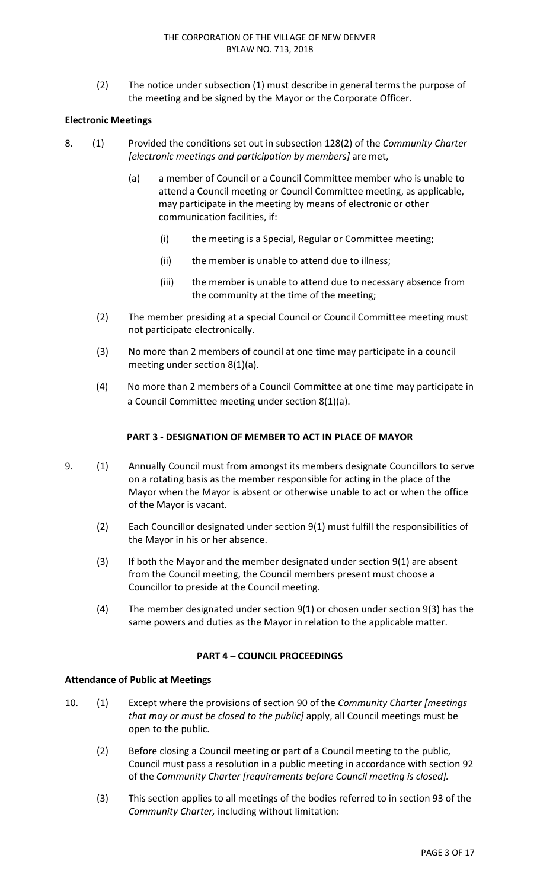(2) The notice under subsection (1) must describe in general terms the purpose of the meeting and be signed by the Mayor or the Corporate Officer.

# **Electronic Meetings**

- 8. (1) Provided the conditions set out in subsection 128(2) of the *Community Charter [electronic meetings and participation by members]* are met,
	- (a) a member of Council or a Council Committee member who is unable to attend a Council meeting or Council Committee meeting, as applicable, may participate in the meeting by means of electronic or other communication facilities, if:
		- (i) the meeting is a Special, Regular or Committee meeting;
		- (ii) the member is unable to attend due to illness;
		- (iii) the member is unable to attend due to necessary absence from the community at the time of the meeting;
	- (2) The member presiding at a special Council or Council Committee meeting must not participate electronically.
	- (3) No more than 2 members of council at one time may participate in a council meeting under section 8(1)(a).
	- (4) No more than 2 members of a Council Committee at one time may participate in a Council Committee meeting under section 8(1)(a).

# **PART 3 ‐ DESIGNATION OF MEMBER TO ACT IN PLACE OF MAYOR**

- 9. (1) Annually Council must from amongst its members designate Councillors to serve on a rotating basis as the member responsible for acting in the place of the Mayor when the Mayor is absent or otherwise unable to act or when the office of the Mayor is vacant.
	- (2) Each Councillor designated under section 9(1) must fulfill the responsibilities of the Mayor in his or her absence.
	- (3) If both the Mayor and the member designated under section 9(1) are absent from the Council meeting, the Council members present must choose a Councillor to preside at the Council meeting.
	- (4) The member designated under section 9(1) or chosen under section 9(3) has the same powers and duties as the Mayor in relation to the applicable matter.

## **PART 4 – COUNCIL PROCEEDINGS**

## **Attendance of Public at Meetings**

- 10. (1) Except where the provisions of section 90 of the *Community Charter [meetings that may or must be closed to the public]* apply, all Council meetings must be open to the public.
	- (2) Before closing a Council meeting or part of a Council meeting to the public, Council must pass a resolution in a public meeting in accordance with section 92 of the *Community Charter [requirements before Council meeting is closed].*
	- (3) This section applies to all meetings of the bodies referred to in section 93 of the *Community Charter,* including without limitation: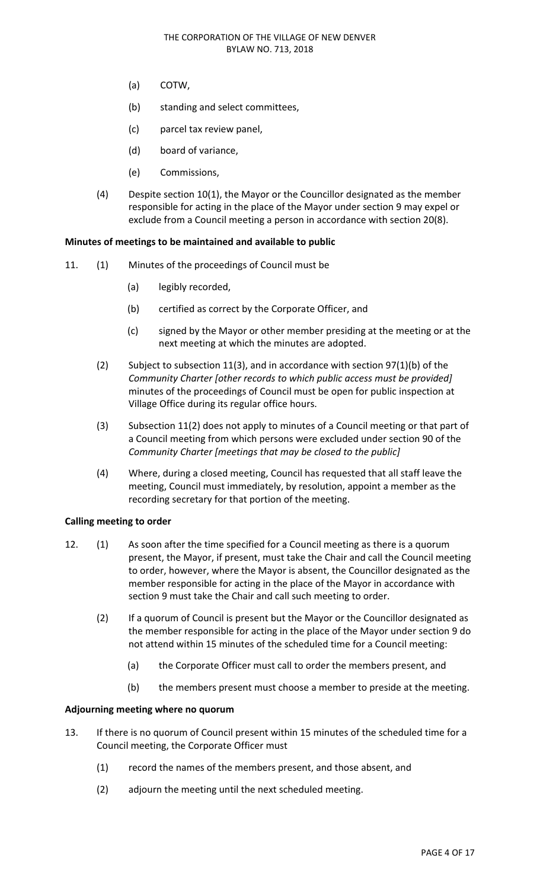- (a) COTW,
- (b) standing and select committees,
- (c) parcel tax review panel,
- (d) board of variance,
- (e) Commissions,
- (4) Despite section 10(1), the Mayor or the Councillor designated as the member responsible for acting in the place of the Mayor under section 9 may expel or exclude from a Council meeting a person in accordance with section 20(8).

## **Minutes of meetings to be maintained and available to public**

- 11. (1) Minutes of the proceedings of Council must be
	- (a) legibly recorded,
	- (b) certified as correct by the Corporate Officer, and
	- (c) signed by the Mayor or other member presiding at the meeting or at the next meeting at which the minutes are adopted.
	- (2) Subject to subsection 11(3), and in accordance with section 97(1)(b) of the *Community Charter [other records to which public access must be provided]*  minutes of the proceedings of Council must be open for public inspection at Village Office during its regular office hours.
	- (3) Subsection 11(2) does not apply to minutes of a Council meeting or that part of a Council meeting from which persons were excluded under section 90 of the *Community Charter [meetings that may be closed to the public]*
	- (4) Where, during a closed meeting, Council has requested that all staff leave the meeting, Council must immediately, by resolution, appoint a member as the recording secretary for that portion of the meeting.

## **Calling meeting to order**

- 12. (1) As soon after the time specified for a Council meeting as there is a quorum present, the Mayor, if present, must take the Chair and call the Council meeting to order, however, where the Mayor is absent, the Councillor designated as the member responsible for acting in the place of the Mayor in accordance with section 9 must take the Chair and call such meeting to order.
	- (2) If a quorum of Council is present but the Mayor or the Councillor designated as the member responsible for acting in the place of the Mayor under section 9 do not attend within 15 minutes of the scheduled time for a Council meeting:
		- (a) the Corporate Officer must call to order the members present, and
		- (b) the members present must choose a member to preside at the meeting.

## **Adjourning meeting where no quorum**

- 13. If there is no quorum of Council present within 15 minutes of the scheduled time for a Council meeting, the Corporate Officer must
	- (1) record the names of the members present, and those absent, and
	- (2) adjourn the meeting until the next scheduled meeting.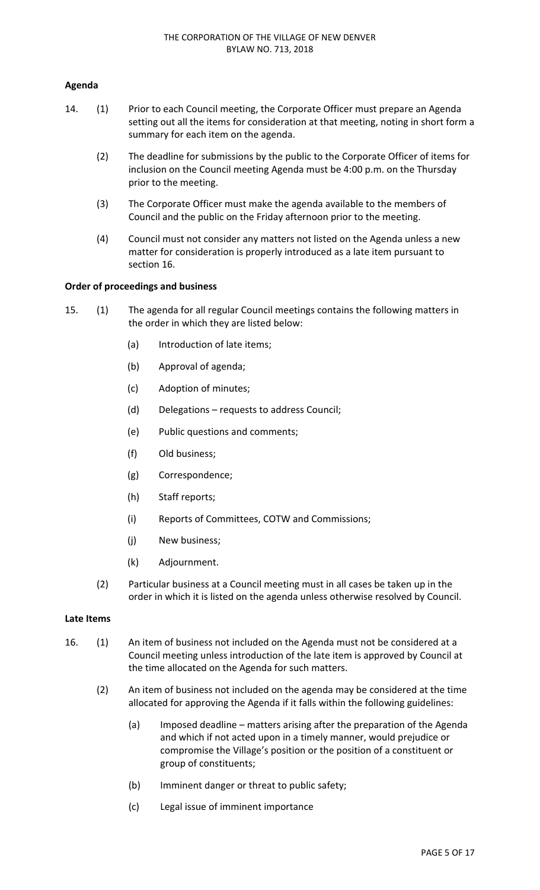# **Agenda**

- 14. (1) Prior to each Council meeting, the Corporate Officer must prepare an Agenda setting out all the items for consideration at that meeting, noting in short form a summary for each item on the agenda.
	- (2) The deadline for submissions by the public to the Corporate Officer of items for inclusion on the Council meeting Agenda must be 4:00 p.m. on the Thursday prior to the meeting.
	- (3) The Corporate Officer must make the agenda available to the members of Council and the public on the Friday afternoon prior to the meeting.
	- (4) Council must not consider any matters not listed on the Agenda unless a new matter for consideration is properly introduced as a late item pursuant to section 16.

## **Order of proceedings and business**

- 15. (1) The agenda for all regular Council meetings contains the following matters in the order in which they are listed below:
	- (a) Introduction of late items;
	- (b) Approval of agenda;
	- (c) Adoption of minutes;
	- (d) Delegations requests to address Council;
	- (e) Public questions and comments;
	- (f) Old business;
	- (g) Correspondence;
	- (h) Staff reports;
	- (i) Reports of Committees, COTW and Commissions;
	- (j) New business;
	- (k) Adjournment.
	- (2) Particular business at a Council meeting must in all cases be taken up in the order in which it is listed on the agenda unless otherwise resolved by Council.

#### **Late Items**

- 16. (1) An item of business not included on the Agenda must not be considered at a Council meeting unless introduction of the late item is approved by Council at the time allocated on the Agenda for such matters.
	- (2) An item of business not included on the agenda may be considered at the time allocated for approving the Agenda if it falls within the following guidelines:
		- (a) Imposed deadline matters arising after the preparation of the Agenda and which if not acted upon in a timely manner, would prejudice or compromise the Village's position or the position of a constituent or group of constituents;
		- (b) Imminent danger or threat to public safety;
		- (c) Legal issue of imminent importance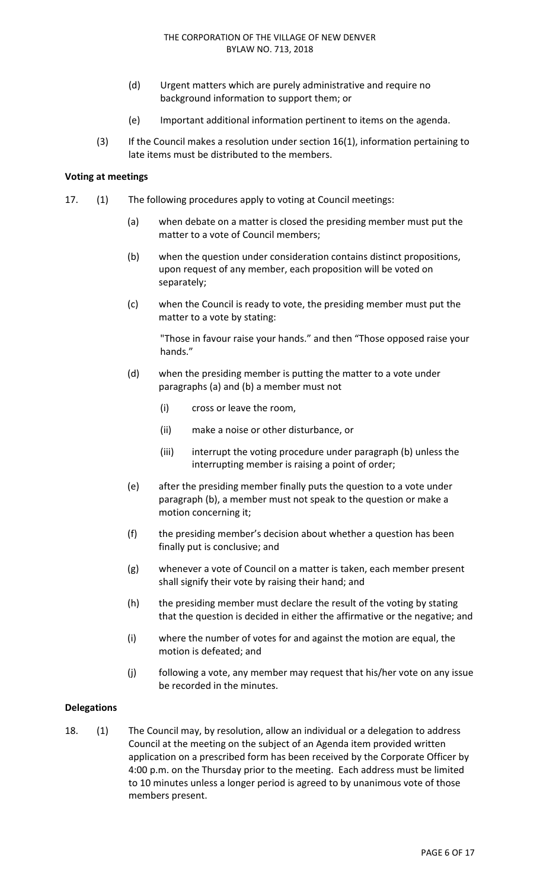- (d) Urgent matters which are purely administrative and require no background information to support them; or
- (e) Important additional information pertinent to items on the agenda.
- (3) If the Council makes a resolution under section 16(1), information pertaining to late items must be distributed to the members.

## **Voting at meetings**

- 17. (1) The following procedures apply to voting at Council meetings:
	- (a) when debate on a matter is closed the presiding member must put the matter to a vote of Council members;
	- (b) when the question under consideration contains distinct propositions, upon request of any member, each proposition will be voted on separately;
	- (c) when the Council is ready to vote, the presiding member must put the matter to a vote by stating:

"Those in favour raise your hands." and then "Those opposed raise your hands."

- (d) when the presiding member is putting the matter to a vote under paragraphs (a) and (b) a member must not
	- (i) cross or leave the room,
	- (ii) make a noise or other disturbance, or
	- (iii) interrupt the voting procedure under paragraph (b) unless the interrupting member is raising a point of order;
- (e) after the presiding member finally puts the question to a vote under paragraph (b), a member must not speak to the question or make a motion concerning it;
- (f) the presiding member's decision about whether a question has been finally put is conclusive; and
- (g) whenever a vote of Council on a matter is taken, each member present shall signify their vote by raising their hand; and
- (h) the presiding member must declare the result of the voting by stating that the question is decided in either the affirmative or the negative; and
- (i) where the number of votes for and against the motion are equal, the motion is defeated; and
- (j) following a vote, any member may request that his/her vote on any issue be recorded in the minutes.

## **Delegations**

18. (1) The Council may, by resolution, allow an individual or a delegation to address Council at the meeting on the subject of an Agenda item provided written application on a prescribed form has been received by the Corporate Officer by 4:00 p.m. on the Thursday prior to the meeting. Each address must be limited to 10 minutes unless a longer period is agreed to by unanimous vote of those members present.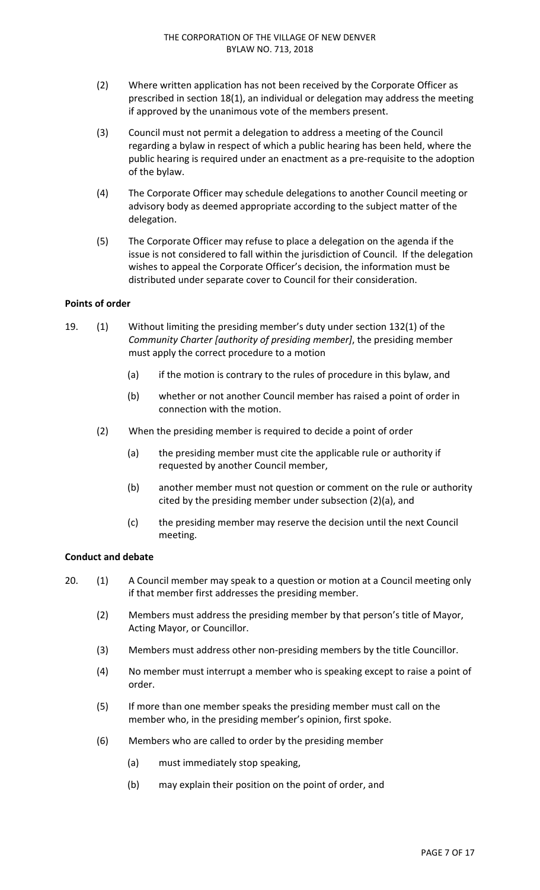- (2) Where written application has not been received by the Corporate Officer as prescribed in section 18(1), an individual or delegation may address the meeting if approved by the unanimous vote of the members present.
- (3) Council must not permit a delegation to address a meeting of the Council regarding a bylaw in respect of which a public hearing has been held, where the public hearing is required under an enactment as a pre‐requisite to the adoption of the bylaw.
- (4) The Corporate Officer may schedule delegations to another Council meeting or advisory body as deemed appropriate according to the subject matter of the delegation.
- (5) The Corporate Officer may refuse to place a delegation on the agenda if the issue is not considered to fall within the jurisdiction of Council. If the delegation wishes to appeal the Corporate Officer's decision, the information must be distributed under separate cover to Council for their consideration.

## **Points of order**

- 19. (1) Without limiting the presiding member's duty under section 132(1) of the *Community Charter [authority of presiding member]*, the presiding member must apply the correct procedure to a motion
	- (a) if the motion is contrary to the rules of procedure in this bylaw, and
	- (b) whether or not another Council member has raised a point of order in connection with the motion.
	- (2) When the presiding member is required to decide a point of order
		- (a) the presiding member must cite the applicable rule or authority if requested by another Council member,
		- (b) another member must not question or comment on the rule or authority cited by the presiding member under subsection (2)(a), and
		- (c) the presiding member may reserve the decision until the next Council meeting.

## **Conduct and debate**

- 20. (1) A Council member may speak to a question or motion at a Council meeting only if that member first addresses the presiding member.
	- (2) Members must address the presiding member by that person's title of Mayor, Acting Mayor, or Councillor.
	- (3) Members must address other non‐presiding members by the title Councillor.
	- (4) No member must interrupt a member who is speaking except to raise a point of order.
	- (5) If more than one member speaks the presiding member must call on the member who, in the presiding member's opinion, first spoke.
	- (6) Members who are called to order by the presiding member
		- (a) must immediately stop speaking,
		- (b) may explain their position on the point of order, and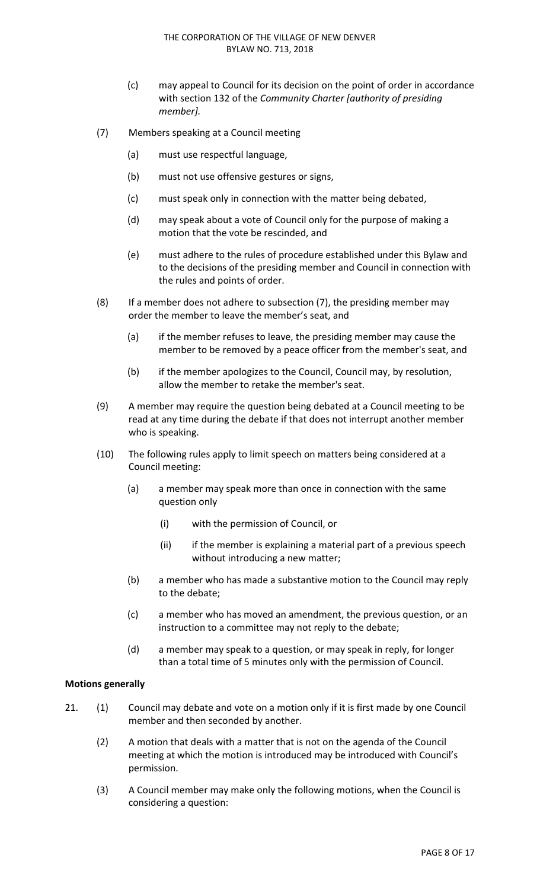- (c) may appeal to Council for its decision on the point of order in accordance with section 132 of the *Community Charter [authority of presiding member].*
- (7) Members speaking at a Council meeting
	- (a) must use respectful language,
	- (b) must not use offensive gestures or signs,
	- (c) must speak only in connection with the matter being debated,
	- (d) may speak about a vote of Council only for the purpose of making a motion that the vote be rescinded, and
	- (e) must adhere to the rules of procedure established under this Bylaw and to the decisions of the presiding member and Council in connection with the rules and points of order.
- (8) If a member does not adhere to subsection (7), the presiding member may order the member to leave the member's seat, and
	- (a) if the member refuses to leave, the presiding member may cause the member to be removed by a peace officer from the member's seat, and
	- (b) if the member apologizes to the Council, Council may, by resolution, allow the member to retake the member's seat.
- (9) A member may require the question being debated at a Council meeting to be read at any time during the debate if that does not interrupt another member who is speaking.
- (10) The following rules apply to limit speech on matters being considered at a Council meeting:
	- (a) a member may speak more than once in connection with the same question only
		- (i) with the permission of Council, or
		- (ii) if the member is explaining a material part of a previous speech without introducing a new matter;
	- (b) a member who has made a substantive motion to the Council may reply to the debate;
	- (c) a member who has moved an amendment, the previous question, or an instruction to a committee may not reply to the debate;
	- (d) a member may speak to a question, or may speak in reply, for longer than a total time of 5 minutes only with the permission of Council.

## **Motions generally**

- 21. (1) Council may debate and vote on a motion only if it is first made by one Council member and then seconded by another.
	- (2) A motion that deals with a matter that is not on the agenda of the Council meeting at which the motion is introduced may be introduced with Council's permission.
	- (3) A Council member may make only the following motions, when the Council is considering a question: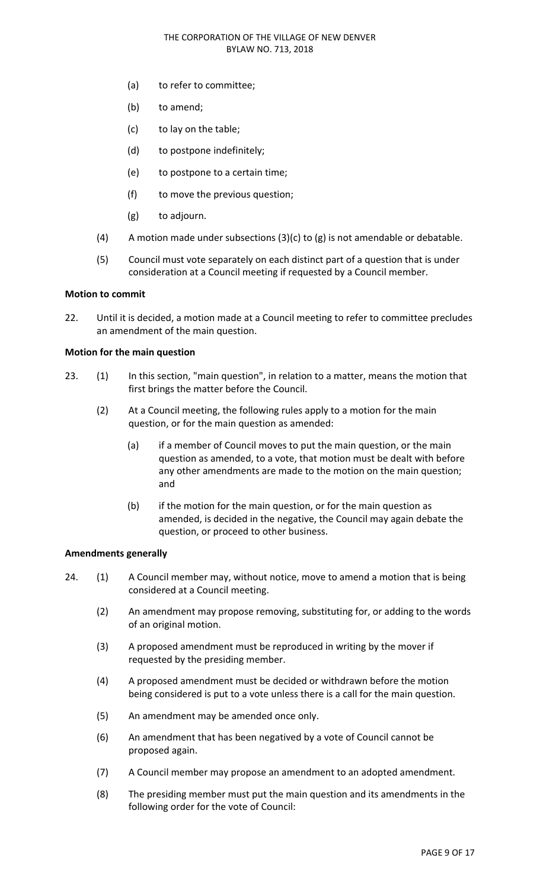- (a) to refer to committee;
- (b) to amend;
- (c) to lay on the table;
- (d) to postpone indefinitely;
- (e) to postpone to a certain time;
- (f) to move the previous question;
- (g) to adjourn.
- (4) A motion made under subsections  $(3)(c)$  to  $(g)$  is not amendable or debatable.
- (5) Council must vote separately on each distinct part of a question that is under consideration at a Council meeting if requested by a Council member.

#### **Motion to commit**

22. Until it is decided, a motion made at a Council meeting to refer to committee precludes an amendment of the main question.

## **Motion for the main question**

- 23. (1) In this section, "main question", in relation to a matter, means the motion that first brings the matter before the Council.
	- (2) At a Council meeting, the following rules apply to a motion for the main question, or for the main question as amended:
		- (a) if a member of Council moves to put the main question, or the main question as amended, to a vote, that motion must be dealt with before any other amendments are made to the motion on the main question; and
		- (b) if the motion for the main question, or for the main question as amended, is decided in the negative, the Council may again debate the question, or proceed to other business.

## **Amendments generally**

- 24. (1) A Council member may, without notice, move to amend a motion that is being considered at a Council meeting.
	- (2) An amendment may propose removing, substituting for, or adding to the words of an original motion.
	- (3) A proposed amendment must be reproduced in writing by the mover if requested by the presiding member.
	- (4) A proposed amendment must be decided or withdrawn before the motion being considered is put to a vote unless there is a call for the main question.
	- (5) An amendment may be amended once only.
	- (6) An amendment that has been negatived by a vote of Council cannot be proposed again.
	- (7) A Council member may propose an amendment to an adopted amendment.
	- (8) The presiding member must put the main question and its amendments in the following order for the vote of Council: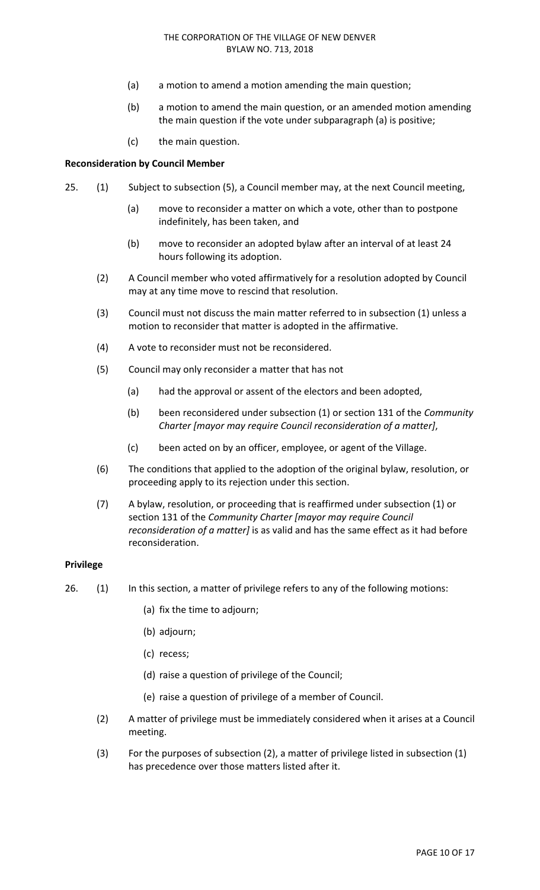- (a) a motion to amend a motion amending the main question;
- (b) a motion to amend the main question, or an amended motion amending the main question if the vote under subparagraph (a) is positive;
- (c) the main question.

#### **Reconsideration by Council Member**

- 25. (1) Subject to subsection (5), a Council member may, at the next Council meeting,
	- (a) move to reconsider a matter on which a vote, other than to postpone indefinitely, has been taken, and
	- (b) move to reconsider an adopted bylaw after an interval of at least 24 hours following its adoption.
	- (2) A Council member who voted affirmatively for a resolution adopted by Council may at any time move to rescind that resolution.
	- (3) Council must not discuss the main matter referred to in subsection (1) unless a motion to reconsider that matter is adopted in the affirmative.
	- (4) A vote to reconsider must not be reconsidered.
	- (5) Council may only reconsider a matter that has not
		- (a) had the approval or assent of the electors and been adopted,
		- (b) been reconsidered under subsection (1) or section 131 of the *Community Charter [mayor may require Council reconsideration of a matter]*,
		- (c) been acted on by an officer, employee, or agent of the Village.
	- (6) The conditions that applied to the adoption of the original bylaw, resolution, or proceeding apply to its rejection under this section.
	- (7) A bylaw, resolution, or proceeding that is reaffirmed under subsection (1) or section 131 of the *Community Charter [mayor may require Council reconsideration of a matter]* is as valid and has the same effect as it had before reconsideration.

## **Privilege**

- 26. (1) In this section, a matter of privilege refers to any of the following motions:
	- (a) fix the time to adjourn;
	- (b) adjourn;
	- (c) recess;
	- (d) raise a question of privilege of the Council;
	- (e) raise a question of privilege of a member of Council.
	- (2) A matter of privilege must be immediately considered when it arises at a Council meeting.
	- (3) For the purposes of subsection (2), a matter of privilege listed in subsection (1) has precedence over those matters listed after it.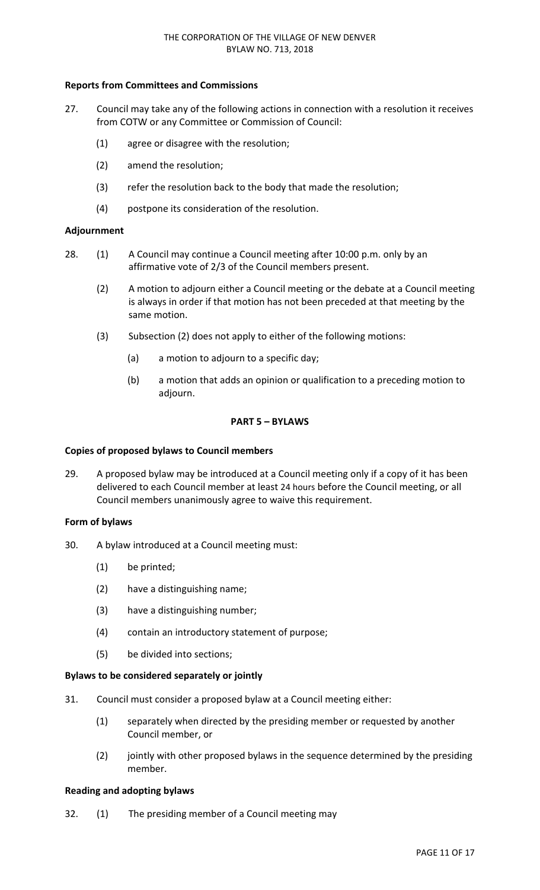# **Reports from Committees and Commissions**

- 27. Council may take any of the following actions in connection with a resolution it receives from COTW or any Committee or Commission of Council:
	- (1) agree or disagree with the resolution;
	- (2) amend the resolution;
	- (3) refer the resolution back to the body that made the resolution;
	- (4) postpone its consideration of the resolution.

## **Adjournment**

- 28. (1) A Council may continue a Council meeting after 10:00 p.m. only by an affirmative vote of 2/3 of the Council members present.
	- (2) A motion to adjourn either a Council meeting or the debate at a Council meeting is always in order if that motion has not been preceded at that meeting by the same motion.
	- (3) Subsection (2) does not apply to either of the following motions:
		- (a) a motion to adjourn to a specific day;
		- (b) a motion that adds an opinion or qualification to a preceding motion to adjourn.

## **PART 5 – BYLAWS**

## **Copies of proposed bylaws to Council members**

29. A proposed bylaw may be introduced at a Council meeting only if a copy of it has been delivered to each Council member at least 24 hours before the Council meeting, or all Council members unanimously agree to waive this requirement.

#### **Form of bylaws**

- 30. A bylaw introduced at a Council meeting must:
	- (1) be printed;
	- (2) have a distinguishing name;
	- (3) have a distinguishing number;
	- (4) contain an introductory statement of purpose;
	- (5) be divided into sections;

## **Bylaws to be considered separately or jointly**

- 31. Council must consider a proposed bylaw at a Council meeting either:
	- (1) separately when directed by the presiding member or requested by another Council member, or
	- (2) jointly with other proposed bylaws in the sequence determined by the presiding member.

## **Reading and adopting bylaws**

32. (1) The presiding member of a Council meeting may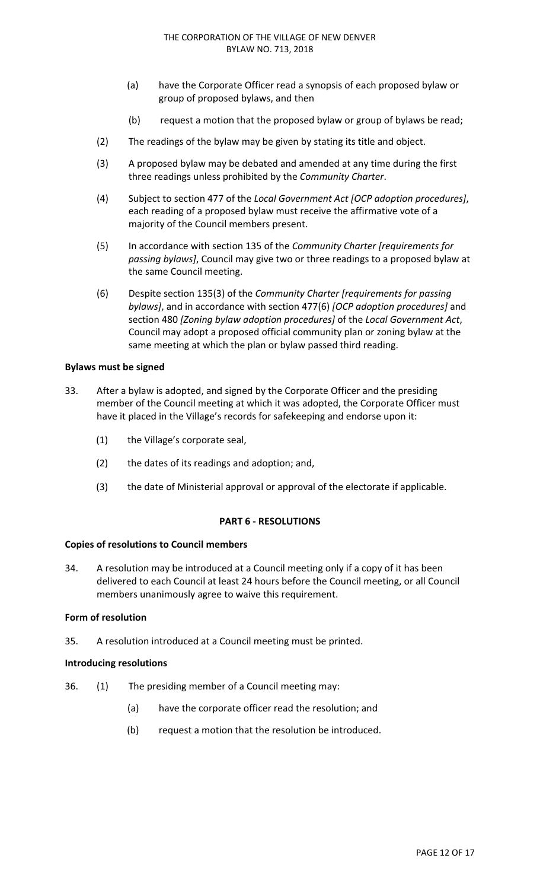- (a) have the Corporate Officer read a synopsis of each proposed bylaw or group of proposed bylaws, and then
- (b) request a motion that the proposed bylaw or group of bylaws be read;
- (2) The readings of the bylaw may be given by stating its title and object.
- (3) A proposed bylaw may be debated and amended at any time during the first three readings unless prohibited by the *Community Charter*.
- (4) Subject to section 477 of the *Local Government Act [OCP adoption procedures]*, each reading of a proposed bylaw must receive the affirmative vote of a majority of the Council members present.
- (5) In accordance with section 135 of the *Community Charter [requirements for passing bylaws]*, Council may give two or three readings to a proposed bylaw at the same Council meeting.
- (6) Despite section 135(3) of the *Community Charter [requirements for passing bylaws]*, and in accordance with section 477(6) *[OCP adoption procedures]* and section 480 *[Zoning bylaw adoption procedures]* of the *Local Government Act*, Council may adopt a proposed official community plan or zoning bylaw at the same meeting at which the plan or bylaw passed third reading.

#### **Bylaws must be signed**

- 33. After a bylaw is adopted, and signed by the Corporate Officer and the presiding member of the Council meeting at which it was adopted, the Corporate Officer must have it placed in the Village's records for safekeeping and endorse upon it:
	- (1) the Village's corporate seal,
	- (2) the dates of its readings and adoption; and,
	- (3) the date of Ministerial approval or approval of the electorate if applicable.

## **PART 6 ‐ RESOLUTIONS**

## **Copies of resolutions to Council members**

34. A resolution may be introduced at a Council meeting only if a copy of it has been delivered to each Council at least 24 hours before the Council meeting, or all Council members unanimously agree to waive this requirement.

#### **Form of resolution**

35. A resolution introduced at a Council meeting must be printed.

#### **Introducing resolutions**

- 36. (1) The presiding member of a Council meeting may:
	- (a) have the corporate officer read the resolution; and
	- (b) request a motion that the resolution be introduced.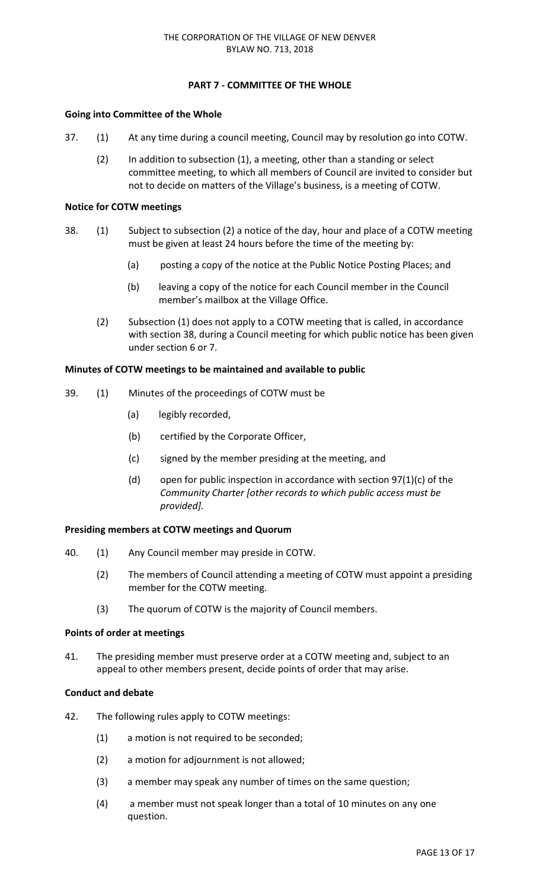# **PART 7 ‐ COMMITTEE OF THE WHOLE**

# **Going into Committee of the Whole**

- 37. (1) At any time during a council meeting, Council may by resolution go into COTW.
	- (2) In addition to subsection (1), a meeting, other than a standing or select committee meeting, to which all members of Council are invited to consider but not to decide on matters of the Village's business, is a meeting of COTW.

# **Notice for COTW meetings**

- 38. (1) Subject to subsection (2) a notice of the day, hour and place of a COTW meeting must be given at least 24 hours before the time of the meeting by:
	- (a) posting a copy of the notice at the Public Notice Posting Places; and
	- (b) leaving a copy of the notice for each Council member in the Council member's mailbox at the Village Office.
	- (2) Subsection (1) does not apply to a COTW meeting that is called, in accordance with section 38, during a Council meeting for which public notice has been given under section 6 or 7.

## **Minutes of COTW meetings to be maintained and available to public**

- 39. (1) Minutes of the proceedings of COTW must be
	- (a) legibly recorded,
	- (b) certified by the Corporate Officer,
	- (c) signed by the member presiding at the meeting, and
	- (d) open for public inspection in accordance with section  $97(1)(c)$  of the *Community Charter [other records to which public access must be provided].*

## **Presiding members at COTW meetings and Quorum**

- 40. (1) Any Council member may preside in COTW.
	- (2) The members of Council attending a meeting of COTW must appoint a presiding member for the COTW meeting.
	- (3) The quorum of COTW is the majority of Council members.

## **Points of order at meetings**

41. The presiding member must preserve order at a COTW meeting and, subject to an appeal to other members present, decide points of order that may arise.

# **Conduct and debate**

- 42. The following rules apply to COTW meetings:
	- (1) a motion is not required to be seconded;
	- (2) a motion for adjournment is not allowed;
	- (3) a member may speak any number of times on the same question;
	- (4) a member must not speak longer than a total of 10 minutes on any one question.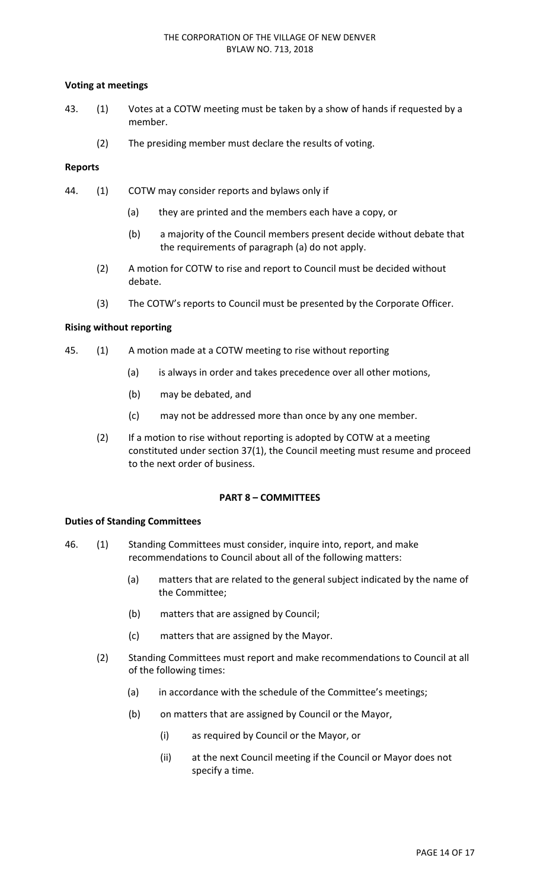# **Voting at meetings**

- 43. (1) Votes at a COTW meeting must be taken by a show of hands if requested by a member.
	- (2) The presiding member must declare the results of voting.

## **Reports**

- 44. (1) COTW may consider reports and bylaws only if
	- (a) they are printed and the members each have a copy, or
	- (b) a majority of the Council members present decide without debate that the requirements of paragraph (a) do not apply.
	- (2) A motion for COTW to rise and report to Council must be decided without debate.
	- (3) The COTW's reports to Council must be presented by the Corporate Officer.

## **Rising without reporting**

- 45. (1) A motion made at a COTW meeting to rise without reporting
	- (a) is always in order and takes precedence over all other motions,
	- (b) may be debated, and
	- (c) may not be addressed more than once by any one member.
	- (2) If a motion to rise without reporting is adopted by COTW at a meeting constituted under section 37(1), the Council meeting must resume and proceed to the next order of business.

## **PART 8 – COMMITTEES**

## **Duties of Standing Committees**

- 46. (1) Standing Committees must consider, inquire into, report, and make recommendations to Council about all of the following matters:
	- (a) matters that are related to the general subject indicated by the name of the Committee;
	- (b) matters that are assigned by Council;
	- (c) matters that are assigned by the Mayor.
	- (2) Standing Committees must report and make recommendations to Council at all of the following times:
		- (a) in accordance with the schedule of the Committee's meetings;
		- (b) on matters that are assigned by Council or the Mayor,
			- (i) as required by Council or the Mayor, or
			- (ii) at the next Council meeting if the Council or Mayor does not specify a time.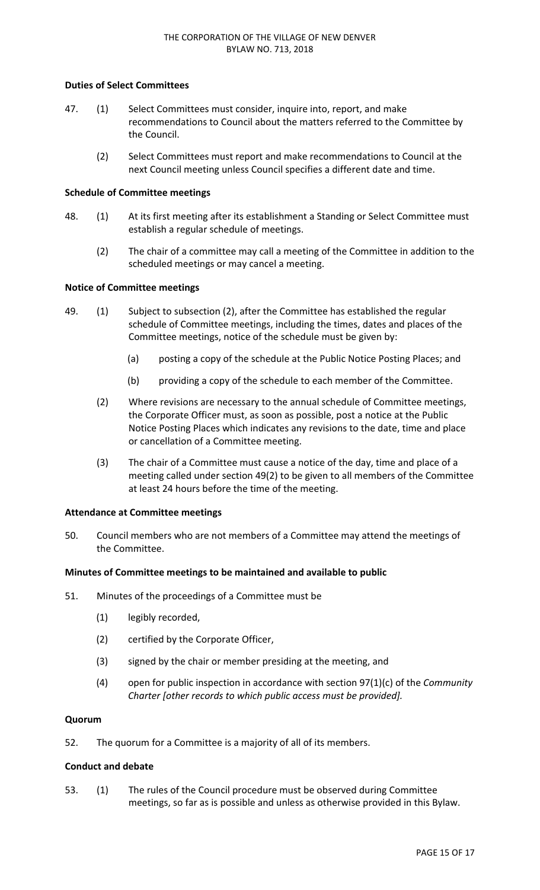## **Duties of Select Committees**

- 47. (1) Select Committees must consider, inquire into, report, and make recommendations to Council about the matters referred to the Committee by the Council.
	- (2) Select Committees must report and make recommendations to Council at the next Council meeting unless Council specifies a different date and time.

## **Schedule of Committee meetings**

- 48. (1) At its first meeting after its establishment a Standing or Select Committee must establish a regular schedule of meetings.
	- (2) The chair of a committee may call a meeting of the Committee in addition to the scheduled meetings or may cancel a meeting.

# **Notice of Committee meetings**

- 49. (1) Subject to subsection (2), after the Committee has established the regular schedule of Committee meetings, including the times, dates and places of the Committee meetings, notice of the schedule must be given by:
	- (a) posting a copy of the schedule at the Public Notice Posting Places; and
	- (b) providing a copy of the schedule to each member of the Committee.
	- (2) Where revisions are necessary to the annual schedule of Committee meetings, the Corporate Officer must, as soon as possible, post a notice at the Public Notice Posting Places which indicates any revisions to the date, time and place or cancellation of a Committee meeting.
	- (3) The chair of a Committee must cause a notice of the day, time and place of a meeting called under section 49(2) to be given to all members of the Committee at least 24 hours before the time of the meeting.

## **Attendance at Committee meetings**

50. Council members who are not members of a Committee may attend the meetings of the Committee.

## **Minutes of Committee meetings to be maintained and available to public**

- 51. Minutes of the proceedings of a Committee must be
	- (1) legibly recorded,
	- (2) certified by the Corporate Officer,
	- (3) signed by the chair or member presiding at the meeting, and
	- (4) open for public inspection in accordance with section 97(1)(c) of the *Community Charter [other records to which public access must be provided].*

## **Quorum**

52. The quorum for a Committee is a majority of all of its members.

## **Conduct and debate**

53. (1) The rules of the Council procedure must be observed during Committee meetings, so far as is possible and unless as otherwise provided in this Bylaw.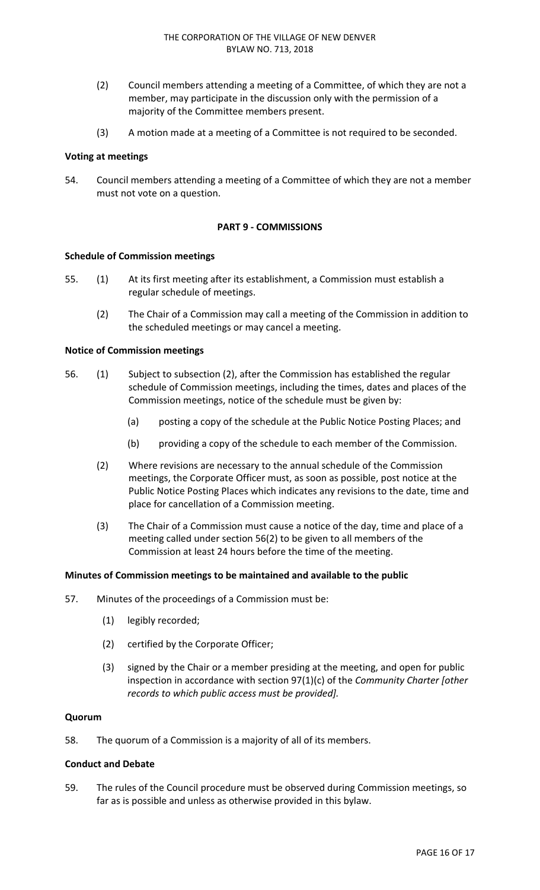- (2) Council members attending a meeting of a Committee, of which they are not a member, may participate in the discussion only with the permission of a majority of the Committee members present.
- (3) A motion made at a meeting of a Committee is not required to be seconded.

#### **Voting at meetings**

54. Council members attending a meeting of a Committee of which they are not a member must not vote on a question.

# **PART 9 ‐ COMMISSIONS**

#### **Schedule of Commission meetings**

- 55. (1) At its first meeting after its establishment, a Commission must establish a regular schedule of meetings.
	- (2) The Chair of a Commission may call a meeting of the Commission in addition to the scheduled meetings or may cancel a meeting.

#### **Notice of Commission meetings**

- 56. (1) Subject to subsection (2), after the Commission has established the regular schedule of Commission meetings, including the times, dates and places of the Commission meetings, notice of the schedule must be given by:
	- (a) posting a copy of the schedule at the Public Notice Posting Places; and
	- (b) providing a copy of the schedule to each member of the Commission.
	- (2) Where revisions are necessary to the annual schedule of the Commission meetings, the Corporate Officer must, as soon as possible, post notice at the Public Notice Posting Places which indicates any revisions to the date, time and place for cancellation of a Commission meeting.
	- (3) The Chair of a Commission must cause a notice of the day, time and place of a meeting called under section 56(2) to be given to all members of the Commission at least 24 hours before the time of the meeting.

#### **Minutes of Commission meetings to be maintained and available to the public**

- 57. Minutes of the proceedings of a Commission must be:
	- (1) legibly recorded;
	- (2) certified by the Corporate Officer;
	- (3) signed by the Chair or a member presiding at the meeting, and open for public inspection in accordance with section 97(1)(c) of the *Community Charter [other records to which public access must be provided].*

#### **Quorum**

58. The quorum of a Commission is a majority of all of its members.

# **Conduct and Debate**

59. The rules of the Council procedure must be observed during Commission meetings, so far as is possible and unless as otherwise provided in this bylaw.